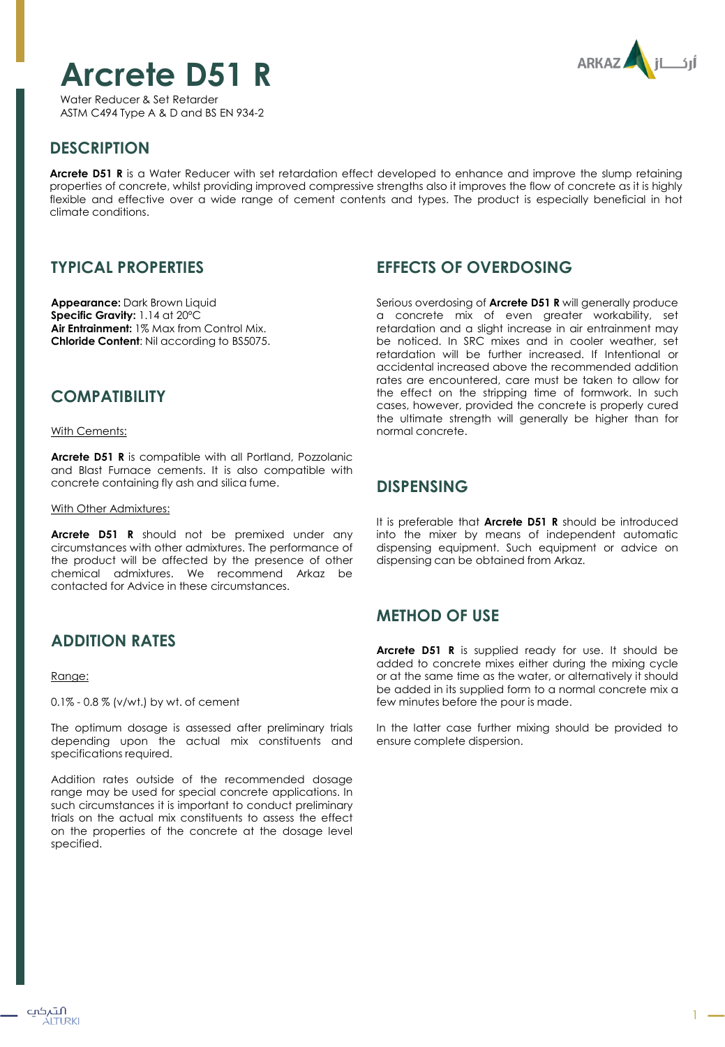# **Arcrete D51 R**



Water Reducer & Set Retarder ASTM C494 Type A & D and BS EN 934-2

# **DESCRIPTION**

**Arcrete D51 R** is a Water Reducer with set retardation effect developed to enhance and improve the slump retaining properties of concrete, whilst providing improved compressive strengths also it improves the flow of concrete as it is highly flexible and effective over a wide range of cement contents and types. The product is especially beneficial in hot climate conditions.

# **TYPICAL PROPERTIES**

**Appearance:** Dark Brown Liquid **Specific Gravity:** 1.14 at 20ºC **Air Entrainment:** 1% Max from Control Mix. **Chloride Content**: Nil according to BS5075.

## **COMPATIBILITY**

With Cements:

**Arcrete D51 R** is compatible with all Portland, Pozzolanic and Blast Furnace cements. It is also compatible with concrete containing fly ash and silica fume.

#### With Other Admixtures:

**Arcrete D51 R** should not be premixed under any circumstances with other admixtures. The performance of the product will be affected by the presence of other chemical admixtures. We recommend Arkaz be contacted for Advice in these circumstances.

# **ADDITION RATES**

#### Range:

0.1% - 0.8 % (v/wt.) by wt. of cement

The optimum dosage is assessed after preliminary trials depending upon the actual mix constituents and specifications required.

Addition rates outside of the recommended dosage range may be used for special concrete applications. In such circumstances it is important to conduct preliminary trials on the actual mix constituents to assess the effect on the properties of the concrete at the dosage level specified.

## **EFFECTS OF OVERDOSING**

Serious overdosing of **Arcrete D51 R** will generally produce a concrete mix of even greater workability, set retardation and a slight increase in air entrainment may be noticed. In SRC mixes and in cooler weather, set retardation will be further increased. If Intentional or accidental increased above the recommended addition rates are encountered, care must be taken to allow for the effect on the stripping time of formwork. In such cases, however, provided the concrete is properly cured the ultimate strength will generally be higher than for normal concrete.

## **DISPENSING**

It is preferable that **Arcrete D51 R** should be introduced into the mixer by means of independent automatic dispensing equipment. Such equipment or advice on dispensing can be obtained from Arkaz.

## **METHOD OF USE**

**Arcrete D51 R** is supplied ready for use. It should be added to concrete mixes either during the mixing cycle or at the same time as the water, or alternatively it should be added in its supplied form to a normal concrete mix a few minutes before the pour is made.

In the latter case further mixing should be provided to ensure complete dispersion.